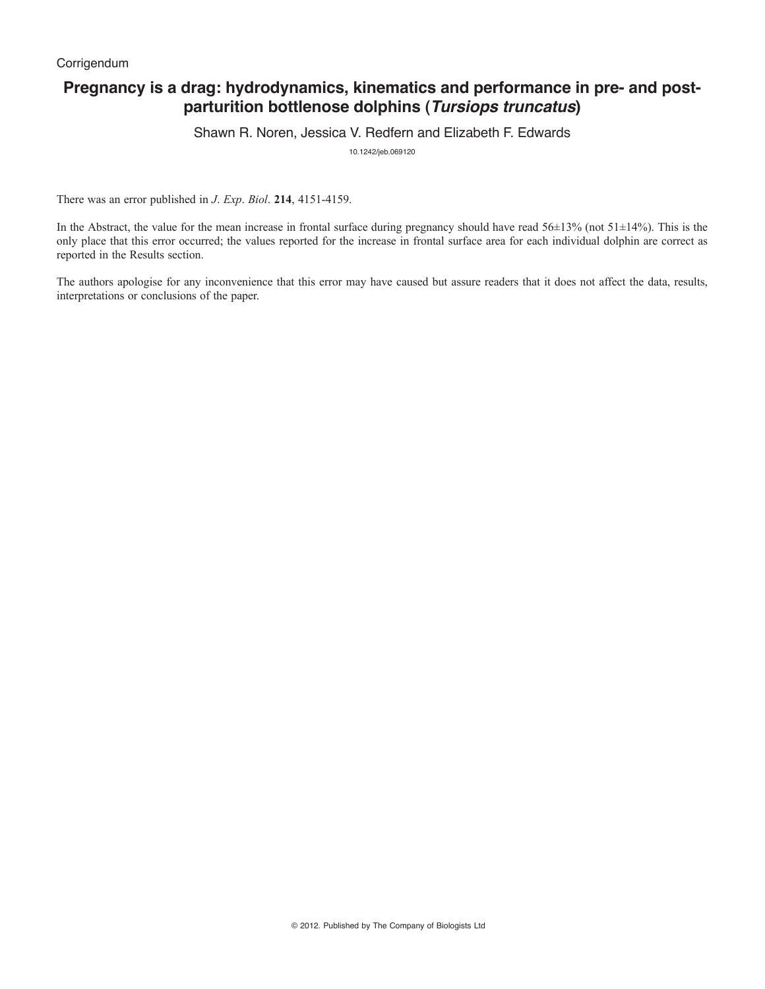# **Pregnancy is a drag: hydrodynamics, kinematics and performance in pre- and postparturition bottlenose dolphins (***Tursiops truncatus***)**

Shawn R. Noren, Jessica V. Redfern and Elizabeth F. Edwards

10.1242/jeb.069120

There was an error published in *J*. *Exp*. *Biol*. **214**, 4151-4159.

In the Abstract, the value for the mean increase in frontal surface during pregnancy should have read  $56±13%$  (not  $51±14%$ ). This is the only place that this error occurred; the values reported for the increase in frontal surface area for each individual dolphin are correct as reported in the Results section.

The authors apologise for any inconvenience that this error may have caused but assure readers that it does not affect the data, results, interpretations or conclusions of the paper.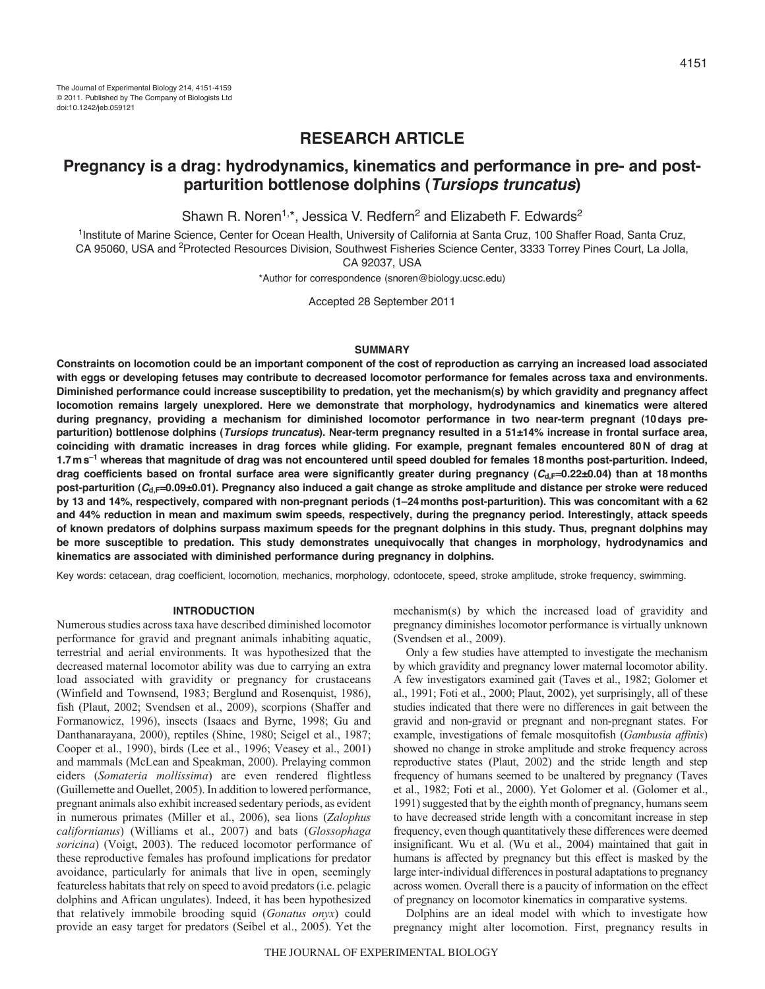# **RESEARCH ARTICLE**

# **Pregnancy is a drag: hydrodynamics, kinematics and performance in pre- and postparturition bottlenose dolphins (***Tursiops truncatus***)**

Shawn R. Noren<sup>1,\*</sup>, Jessica V. Redfern<sup>2</sup> and Elizabeth F. Edwards<sup>2</sup>

1Institute of Marine Science, Center for Ocean Health, University of California at Santa Cruz, 100 Shaffer Road, Santa Cruz, CA 95060, USA and <sup>2</sup>Protected Resources Division, Southwest Fisheries Science Center, 3333 Torrey Pines Court, La Jolla,

CA 92037, USA

\*Author for correspondence (snoren@biology.ucsc.edu)

Accepted 28 September 2011

# **SUMMARY**

**Constraints on locomotion could be an important component of the cost of reproduction as carrying an increased load associated with eggs or developing fetuses may contribute to decreased locomotor performance for females across taxa and environments. Diminished performance could increase susceptibility to predation, yet the mechanism(s) by which gravidity and pregnancy affect locomotion remains largely unexplored. Here we demonstrate that morphology, hydrodynamics and kinematics were altered during pregnancy, providing a mechanism for diminished locomotor performance in two near-term pregnant (10days preparturition) bottlenose dolphins (***Tursiops truncatus***). Near-term pregnancy resulted in a 51±14% increase in frontal surface area, coinciding with dramatic increases in drag forces while gliding. For example, pregnant females encountered 80N of drag at 1.7ms–1 whereas that magnitude of drag was not encountered until speed doubled for females 18months post-parturition. Indeed, drag coefficients based on frontal surface area were significantly greater during pregnancy (***C***d,F0.22±0.04) than at 18months post-parturition (***C***d,F0.09±0.01). Pregnancy also induced a gait change as stroke amplitude and distance per stroke were reduced by 13 and 14%, respectively, compared with non-pregnant periods (1–24months post-parturition). This was concomitant with a 62 and 44% reduction in mean and maximum swim speeds, respectively, during the pregnancy period. Interestingly, attack speeds of known predators of dolphins surpass maximum speeds for the pregnant dolphins in this study. Thus, pregnant dolphins may be more susceptible to predation. This study demonstrates unequivocally that changes in morphology, hydrodynamics and kinematics are associated with diminished performance during pregnancy in dolphins.**

Key words: cetacean, drag coefficient, locomotion, mechanics, morphology, odontocete, speed, stroke amplitude, stroke frequency, swimming.

# **INTRODUCTION**

Numerous studies across taxa have described diminished locomotor performance for gravid and pregnant animals inhabiting aquatic, terrestrial and aerial environments. It was hypothesized that the decreased maternal locomotor ability was due to carrying an extra load associated with gravidity or pregnancy for crustaceans (Winfield and Townsend, 1983; Berglund and Rosenquist, 1986), fish (Plaut, 2002; Svendsen et al., 2009), scorpions (Shaffer and Formanowicz, 1996), insects (Isaacs and Byrne, 1998; Gu and Danthanarayana, 2000), reptiles (Shine, 1980; Seigel et al., 1987; Cooper et al., 1990), birds (Lee et al., 1996; Veasey et al., 2001) and mammals (McLean and Speakman, 2000). Prelaying common eiders (*Somateria mollissima*) are even rendered flightless (Guillemette and Ouellet, 2005). In addition to lowered performance, pregnant animals also exhibit increased sedentary periods, as evident in numerous primates (Miller et al., 2006), sea lions (*Zalophus californianus*) (Williams et al., 2007) and bats (*Glossophaga soricina*) (Voigt, 2003). The reduced locomotor performance of these reproductive females has profound implications for predator avoidance, particularly for animals that live in open, seemingly featureless habitats that rely on speed to avoid predators (i.e. pelagic dolphins and African ungulates). Indeed, it has been hypothesized that relatively immobile brooding squid (*Gonatus onyx*) could provide an easy target for predators (Seibel et al., 2005). Yet the

mechanism(s) by which the increased load of gravidity and pregnancy diminishes locomotor performance is virtually unknown (Svendsen et al., 2009).

Only a few studies have attempted to investigate the mechanism by which gravidity and pregnancy lower maternal locomotor ability. A few investigators examined gait (Taves et al., 1982; Golomer et al., 1991; Foti et al., 2000; Plaut, 2002), yet surprisingly, all of these studies indicated that there were no differences in gait between the gravid and non-gravid or pregnant and non-pregnant states. For example, investigations of female mosquitofish (*Gambusia affinis*) showed no change in stroke amplitude and stroke frequency across reproductive states (Plaut, 2002) and the stride length and step frequency of humans seemed to be unaltered by pregnancy (Taves et al., 1982; Foti et al., 2000). Yet Golomer et al. (Golomer et al., 1991) suggested that by the eighth month of pregnancy, humans seem to have decreased stride length with a concomitant increase in step frequency, even though quantitatively these differences were deemed insignificant. Wu et al. (Wu et al., 2004) maintained that gait in humans is affected by pregnancy but this effect is masked by the large inter-individual differences in postural adaptations to pregnancy across women. Overall there is a paucity of information on the effect of pregnancy on locomotor kinematics in comparative systems.

Dolphins are an ideal model with which to investigate how pregnancy might alter locomotion. First, pregnancy results in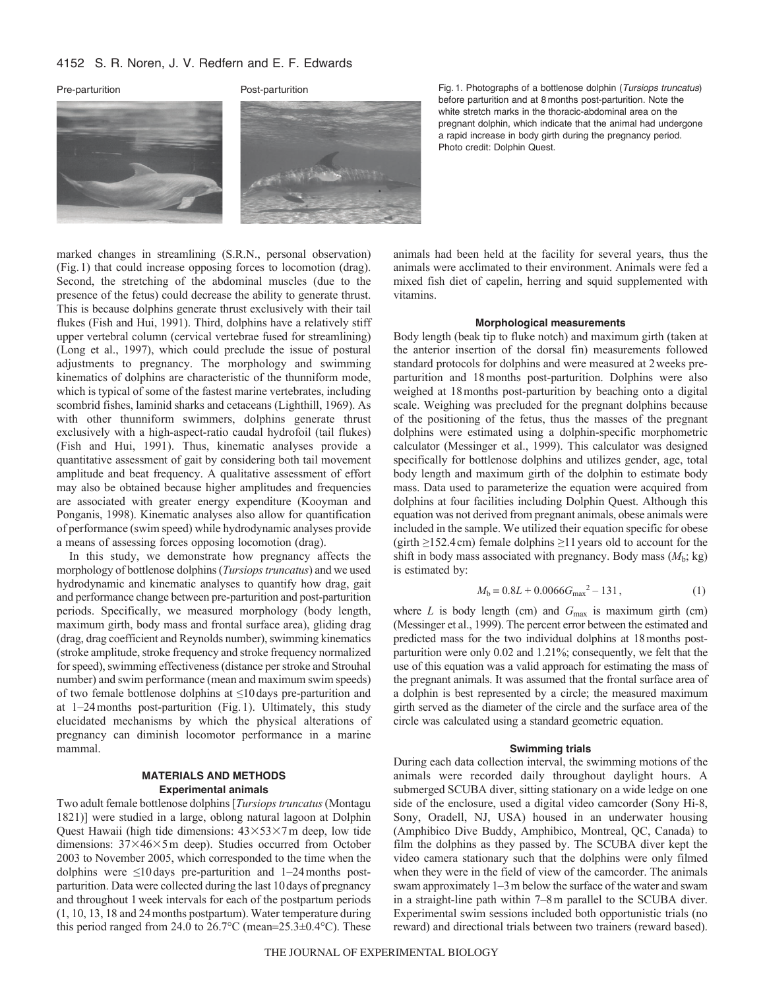## 4152 S. R. Noren, J. V. Redfern and E. F. Edwards





Pre-parturition Post-parturition Fig. 1. Photographs of a bottlenose dolphin (*Tursiops truncatus*) before parturition and at 8 months post-parturition. Note the white stretch marks in the thoracic-abdominal area on the pregnant dolphin, which indicate that the animal had undergone a rapid increase in body girth during the pregnancy period. Photo credit: Dolphin Quest.

marked changes in streamlining (S.R.N., personal observation) (Fig.1) that could increase opposing forces to locomotion (drag). Second, the stretching of the abdominal muscles (due to the presence of the fetus) could decrease the ability to generate thrust. This is because dolphins generate thrust exclusively with their tail flukes (Fish and Hui, 1991). Third, dolphins have a relatively stiff upper vertebral column (cervical vertebrae fused for streamlining) (Long et al., 1997), which could preclude the issue of postural adjustments to pregnancy. The morphology and swimming kinematics of dolphins are characteristic of the thunniform mode, which is typical of some of the fastest marine vertebrates, including scombrid fishes, laminid sharks and cetaceans (Lighthill, 1969). As with other thunniform swimmers, dolphins generate thrust exclusively with a high-aspect-ratio caudal hydrofoil (tail flukes) (Fish and Hui, 1991). Thus, kinematic analyses provide a quantitative assessment of gait by considering both tail movement amplitude and beat frequency. A qualitative assessment of effort may also be obtained because higher amplitudes and frequencies are associated with greater energy expenditure (Kooyman and Ponganis, 1998). Kinematic analyses also allow for quantification of performance (swim speed) while hydrodynamic analyses provide a means of assessing forces opposing locomotion (drag).

In this study, we demonstrate how pregnancy affects the morphology of bottlenose dolphins (*Tursiops truncatus*) and we used hydrodynamic and kinematic analyses to quantify how drag, gait and performance change between pre-parturition and post-parturition periods. Specifically, we measured morphology (body length, maximum girth, body mass and frontal surface area), gliding drag (drag, drag coefficient and Reynolds number), swimming kinematics (stroke amplitude, stroke frequency and stroke frequency normalized for speed), swimming effectiveness (distance per stroke and Strouhal number) and swim performance (mean and maximum swim speeds) of two female bottlenose dolphins at ≤10days pre-parturition and at 1–24months post-parturition (Fig.1). Ultimately, this study elucidated mechanisms by which the physical alterations of pregnancy can diminish locomotor performance in a marine mammal.

## **MATERIALS AND METHODS Experimental animals**

Two adult female bottlenose dolphins [*Tursiops truncatus*(Montagu 1821)] were studied in a large, oblong natural lagoon at Dolphin Quest Hawaii (high tide dimensions:  $43\times53\times7$ m deep, low tide dimensions:  $37\times46\times5$  m deep). Studies occurred from October 2003 to November 2005, which corresponded to the time when the dolphins were ≤10 days pre-parturition and 1–24months postparturition. Data were collected during the last 10days of pregnancy and throughout 1week intervals for each of the postpartum periods (1, 10, 13, 18 and 24months postpartum). Water temperature during this period ranged from 24.0 to  $26.7^{\circ}$ C (mean= $25.3\pm0.4^{\circ}$ C). These animals had been held at the facility for several years, thus the animals were acclimated to their environment. Animals were fed a mixed fish diet of capelin, herring and squid supplemented with vitamins.

## **Morphological measurements**

Body length (beak tip to fluke notch) and maximum girth (taken at the anterior insertion of the dorsal fin) measurements followed standard protocols for dolphins and were measured at 2weeks preparturition and 18months post-parturition. Dolphins were also weighed at 18months post-parturition by beaching onto a digital scale. Weighing was precluded for the pregnant dolphins because of the positioning of the fetus, thus the masses of the pregnant dolphins were estimated using a dolphin-specific morphometric calculator (Messinger et al., 1999). This calculator was designed specifically for bottlenose dolphins and utilizes gender, age, total body length and maximum girth of the dolphin to estimate body mass. Data used to parameterize the equation were acquired from dolphins at four facilities including Dolphin Quest. Although this equation was not derived from pregnant animals, obese animals were included in the sample. We utilized their equation specific for obese (girth  $\geq$ 152.4cm) female dolphins  $\geq$ 11 years old to account for the shift in body mass associated with pregnancy. Body mass  $(M_b; \text{kg})$ is estimated by:

$$
M_b = 0.8L + 0.0066G_{\text{max}}^2 - 131,\tag{1}
$$

where  $L$  is body length (cm) and  $G_{\text{max}}$  is maximum girth (cm) (Messinger et al., 1999). The percent error between the estimated and predicted mass for the two individual dolphins at 18months postparturition were only 0.02 and 1.21%; consequently, we felt that the use of this equation was a valid approach for estimating the mass of the pregnant animals. It was assumed that the frontal surface area of a dolphin is best represented by a circle; the measured maximum girth served as the diameter of the circle and the surface area of the circle was calculated using a standard geometric equation.

## **Swimming trials**

During each data collection interval, the swimming motions of the animals were recorded daily throughout daylight hours. A submerged SCUBA diver, sitting stationary on a wide ledge on one side of the enclosure, used a digital video camcorder (Sony Hi-8, Sony, Oradell, NJ, USA) housed in an underwater housing (Amphibico Dive Buddy, Amphibico, Montreal, QC, Canada) to film the dolphins as they passed by. The SCUBA diver kept the video camera stationary such that the dolphins were only filmed when they were in the field of view of the camcorder. The animals swam approximately 1–3m below the surface of the water and swam in a straight-line path within 7–8m parallel to the SCUBA diver. Experimental swim sessions included both opportunistic trials (no reward) and directional trials between two trainers (reward based).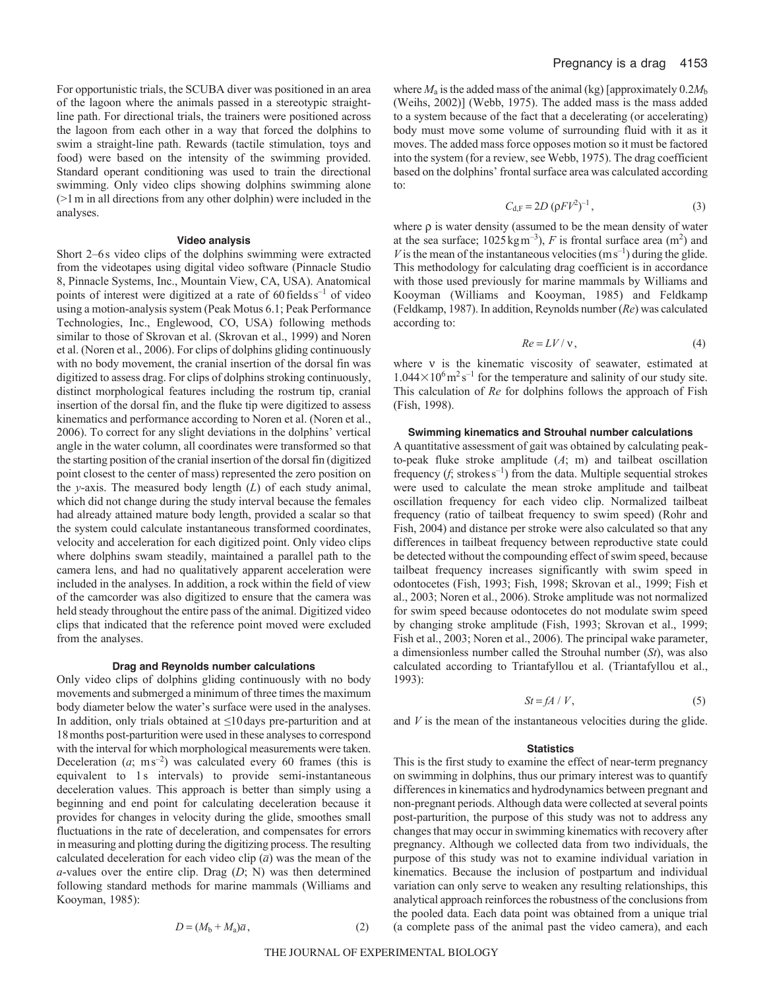For opportunistic trials, the SCUBA diver was positioned in an area of the lagoon where the animals passed in a stereotypic straightline path. For directional trials, the trainers were positioned across the lagoon from each other in a way that forced the dolphins to swim a straight-line path. Rewards (tactile stimulation, toys and food) were based on the intensity of the swimming provided. Standard operant conditioning was used to train the directional swimming. Only video clips showing dolphins swimming alone (>1m in all directions from any other dolphin) were included in the analyses.

## **Video analysis**

Short 2–6s video clips of the dolphins swimming were extracted from the videotapes using digital video software (Pinnacle Studio 8, Pinnacle Systems, Inc., Mountain View, CA, USA). Anatomical points of interest were digitized at a rate of  $60$  fields  $s^{-1}$  of video using a motion-analysis system (Peak Motus 6.1; Peak Performance Technologies, Inc., Englewood, CO, USA) following methods similar to those of Skrovan et al. (Skrovan et al., 1999) and Noren et al. (Noren et al., 2006). For clips of dolphins gliding continuously with no body movement, the cranial insertion of the dorsal fin was digitized to assess drag. For clips of dolphins stroking continuously, distinct morphological features including the rostrum tip, cranial insertion of the dorsal fin, and the fluke tip were digitized to assess kinematics and performance according to Noren et al. (Noren et al., 2006). To correct for any slight deviations in the dolphins' vertical angle in the water column, all coordinates were transformed so that the starting position of the cranial insertion of the dorsal fin (digitized point closest to the center of mass) represented the zero position on the *y*-axis. The measured body length (*L*) of each study animal, which did not change during the study interval because the females had already attained mature body length, provided a scalar so that the system could calculate instantaneous transformed coordinates, velocity and acceleration for each digitized point. Only video clips where dolphins swam steadily, maintained a parallel path to the camera lens, and had no qualitatively apparent acceleration were included in the analyses. In addition, a rock within the field of view of the camcorder was also digitized to ensure that the camera was held steady throughout the entire pass of the animal. Digitized video clips that indicated that the reference point moved were excluded from the analyses.

#### **Drag and Reynolds number calculations**

Only video clips of dolphins gliding continuously with no body movements and submerged a minimum of three times the maximum body diameter below the water's surface were used in the analyses. In addition, only trials obtained at ≤10days pre-parturition and at 18months post-parturition were used in these analyses to correspond with the interval for which morphological measurements were taken. Deceleration  $(a; ms^{-2})$  was calculated every 60 frames (this is equivalent to 1s intervals) to provide semi-instantaneous deceleration values. This approach is better than simply using a beginning and end point for calculating deceleration because it provides for changes in velocity during the glide, smoothes small fluctuations in the rate of deceleration, and compensates for errors in measuring and plotting during the digitizing process. The resulting calculated deceleration for each video clip  $(\bar{a})$  was the mean of the *a*-values over the entire clip. Drag (*D*; N) was then determined following standard methods for marine mammals (Williams and Kooyman, 1985):

where  $M_a$  is the added mass of the animal (kg) [approximately  $0.2M_b$ (Weihs, 2002)] (Webb, 1975). The added mass is the mass added to a system because of the fact that a decelerating (or accelerating) body must move some volume of surrounding fluid with it as it moves. The added mass force opposes motion so it must be factored into the system (for a review, see Webb, 1975). The drag coefficient based on the dolphins' frontal surface area was calculated according to:

$$
C_{d,F} = 2D \, (\rho F V^2)^{-1},\tag{3}
$$

where  $\rho$  is water density (assumed to be the mean density of water at the sea surface;  $1025 \,\mathrm{kg\,m^{-3}}$ ), *F* is frontal surface area (m<sup>2</sup>) and *V* is the mean of the instantaneous velocities  $(m s^{-1})$  during the glide. This methodology for calculating drag coefficient is in accordance with those used previously for marine mammals by Williams and Kooyman (Williams and Kooyman, 1985) and Feldkamp (Feldkamp, 1987). In addition, Reynolds number (*Re*) was calculated according to:

$$
Re = LV / \mathbf{v},\tag{4}
$$

where  $v$  is the kinematic viscosity of seawater, estimated at  $1.044 \times 10^6 \,\mathrm{m^2\,s^{-1}}$  for the temperature and salinity of our study site. This calculation of *Re* for dolphins follows the approach of Fish (Fish, 1998).

### **Swimming kinematics and Strouhal number calculations**

A quantitative assessment of gait was obtained by calculating peakto-peak fluke stroke amplitude (*A*; m) and tailbeat oscillation frequency  $(f, \text{strokes s}^{-1})$  from the data. Multiple sequential strokes were used to calculate the mean stroke amplitude and tailbeat oscillation frequency for each video clip. Normalized tailbeat frequency (ratio of tailbeat frequency to swim speed) (Rohr and Fish, 2004) and distance per stroke were also calculated so that any differences in tailbeat frequency between reproductive state could be detected without the compounding effect of swim speed, because tailbeat frequency increases significantly with swim speed in odontocetes (Fish, 1993; Fish, 1998; Skrovan et al., 1999; Fish et al., 2003; Noren et al., 2006). Stroke amplitude was not normalized for swim speed because odontocetes do not modulate swim speed by changing stroke amplitude (Fish, 1993; Skrovan et al., 1999; Fish et al., 2003; Noren et al., 2006). The principal wake parameter, a dimensionless number called the Strouhal number (*St*), was also calculated according to Triantafyllou et al. (Triantafyllou et al., 1993):

$$
St = fA / V, \tag{5}
$$

and  $V$  is the mean of the instantaneous velocities during the glide.

## **Statistics**

This is the first study to examine the effect of near-term pregnancy on swimming in dolphins, thus our primary interest was to quantify differences in kinematics and hydrodynamics between pregnant and non-pregnant periods. Although data were collected at several points post-parturition, the purpose of this study was not to address any changes that may occur in swimming kinematics with recovery after pregnancy. Although we collected data from two individuals, the purpose of this study was not to examine individual variation in kinematics. Because the inclusion of postpartum and individual variation can only serve to weaken any resulting relationships, this analytical approach reinforces the robustness of the conclusions from the pooled data. Each data point was obtained from a unique trial (a complete pass of the animal past the video camera), and each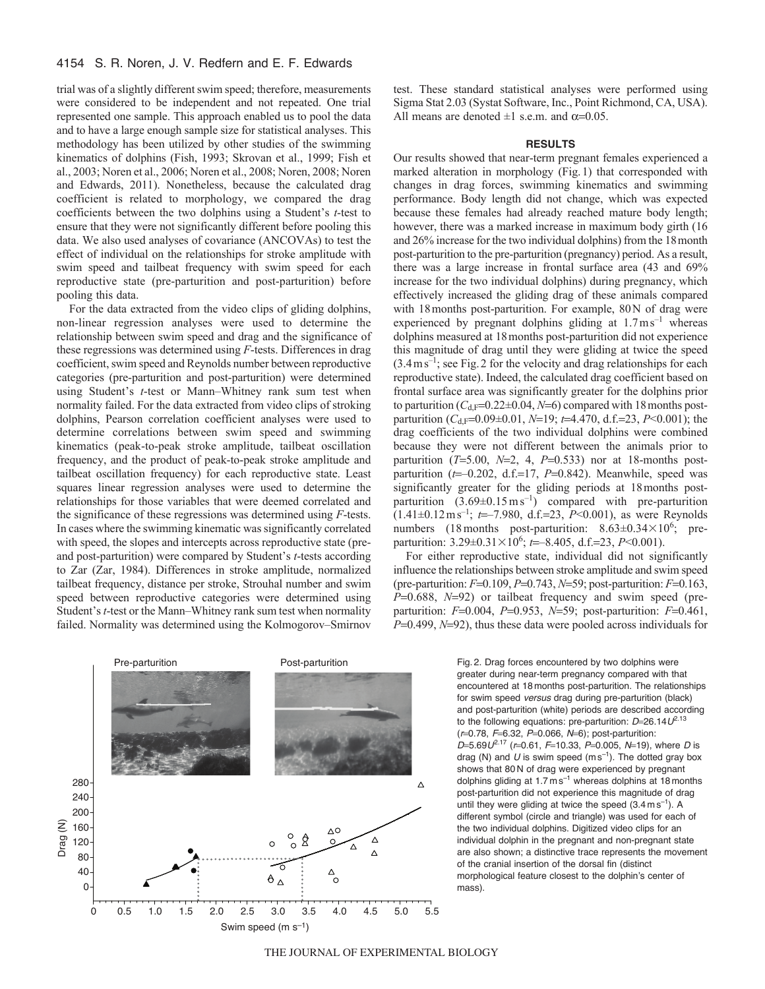# 4154 S. R. Noren, J. V. Redfern and E. F. Edwards

trial was of a slightly different swim speed; therefore, measurements were considered to be independent and not repeated. One trial represented one sample. This approach enabled us to pool the data and to have a large enough sample size for statistical analyses. This methodology has been utilized by other studies of the swimming kinematics of dolphins (Fish, 1993; Skrovan et al., 1999; Fish et al., 2003; Noren et al., 2006; Noren et al., 2008; Noren, 2008; Noren and Edwards, 2011). Nonetheless, because the calculated drag coefficient is related to morphology, we compared the drag coefficients between the two dolphins using a Student's *t*-test to ensure that they were not significantly different before pooling this data. We also used analyses of covariance (ANCOVAs) to test the effect of individual on the relationships for stroke amplitude with swim speed and tailbeat frequency with swim speed for each reproductive state (pre-parturition and post-parturition) before pooling this data.

For the data extracted from the video clips of gliding dolphins, non-linear regression analyses were used to determine the relationship between swim speed and drag and the significance of these regressions was determined using *F*-tests. Differences in drag coefficient, swim speed and Reynolds number between reproductive categories (pre-parturition and post-parturition) were determined using Student's *t*-test or Mann–Whitney rank sum test when normality failed. For the data extracted from video clips of stroking dolphins, Pearson correlation coefficient analyses were used to determine correlations between swim speed and swimming kinematics (peak-to-peak stroke amplitude, tailbeat oscillation frequency, and the product of peak-to-peak stroke amplitude and tailbeat oscillation frequency) for each reproductive state. Least squares linear regression analyses were used to determine the relationships for those variables that were deemed correlated and the significance of these regressions was determined using *F*-tests. In cases where the swimming kinematic was significantly correlated with speed, the slopes and intercepts across reproductive state (preand post-parturition) were compared by Student's *t*-tests according to Zar (Zar, 1984). Differences in stroke amplitude, normalized tailbeat frequency, distance per stroke, Strouhal number and swim speed between reproductive categories were determined using Student's *t*-test or the Mann–Whitney rank sum test when normality failed. Normality was determined using the Kolmogorov–Smirnov



test. These standard statistical analyses were performed using Sigma Stat 2.03 (Systat Software, Inc., Point Richmond, CA, USA). All means are denoted  $\pm 1$  s.e.m. and  $\alpha = 0.05$ .

#### **RESULTS**

Our results showed that near-term pregnant females experienced a marked alteration in morphology (Fig.1) that corresponded with changes in drag forces, swimming kinematics and swimming performance. Body length did not change, which was expected because these females had already reached mature body length; however, there was a marked increase in maximum body girth (16 and 26% increase for the two individual dolphins) from the 18month post-parturition to the pre-parturition (pregnancy) period. As a result, there was a large increase in frontal surface area (43 and 69% increase for the two individual dolphins) during pregnancy, which effectively increased the gliding drag of these animals compared with 18months post-parturition. For example, 80N of drag were experienced by pregnant dolphins gliding at  $1.7 \text{ m s}^{-1}$  whereas dolphins measured at 18months post-parturition did not experience this magnitude of drag until they were gliding at twice the speed  $(3.4 \text{ m s}^{-1})$ ; see Fig. 2 for the velocity and drag relationships for each reproductive state). Indeed, the calculated drag coefficient based on frontal surface area was significantly greater for the dolphins prior to parturition ( $C_{d,F}$ =0.22±0.04, *N*=6) compared with 18 months postparturition ( $C_{d,F}$ =0.09±0.01, *N*=19; *t*=4.470, d.f.=23, *P*<0.001); the drag coefficients of the two individual dolphins were combined because they were not different between the animals prior to parturition  $(T=5.00, N=2, 4, P=0.533)$  nor at 18-months postparturition  $(t=0.202, d.f=17, P=0.842)$ . Meanwhile, speed was significantly greater for the gliding periods at 18months postparturition  $(3.69 \pm 0.15 \text{ m s}^{-1})$  compared with pre-parturition (1.41±0.12ms–1; *t*–7.980, d.f.23, *P*<0.001), as were Reynolds numbers (18 months post-parturition:  $8.63 \pm 0.34 \times 10^6$ ; preparturition:  $3.29 \pm 0.31 \times 10^6$ ; *t*= -8.405, d.f. = 23, *P*<0.001).

For either reproductive state, individual did not significantly influence the relationships between stroke amplitude and swim speed (pre-parturition:  $F=0.109$ ,  $P=0.743$ ,  $N=59$ ; post-parturition:  $F=0.163$ , *P*=0.688, *N*=92) or tailbeat frequency and swim speed (preparturition: *F*=0.004, *P*=0.953, *N*=59; post-parturition: *F*=0.461, *P*=0.499, *N*=92), thus these data were pooled across individuals for

> Fig. 2. Drag forces encountered by two dolphins were greater during near-term pregnancy compared with that encountered at 18 months post-parturition. The relationships for swim speed *versus* drag during pre-parturition (black) and post-parturition (white) periods are described according to the following equations: pre-parturition:  $D=26.14U^{2.13}$ ( $r=0.78$ ,  $F=6.32$ ,  $P=0.066$ ,  $N=6$ ); post-parturition: *D*=5.69*U*<sup>2.17</sup> (*r*=0.61, *F*=10.33, *P*=0.005, *N*=19), where *D* is drag (N) and  $U$  is swim speed (m s<sup>-1</sup>). The dotted gray box shows that 80 N of drag were experienced by pregnant dolphins gliding at  $1.7 \text{ m s}^{-1}$  whereas dolphins at 18 months post-parturition did not experience this magnitude of drag until they were gliding at twice the speed  $(3.4 \text{ m s}^{-1})$ . A different symbol (circle and triangle) was used for each of the two individual dolphins. Digitized video clips for an individual dolphin in the pregnant and non-pregnant state are also shown; a distinctive trace represents the movement of the cranial insertion of the dorsal fin (distinct morphological feature closest to the dolphin's center of mass).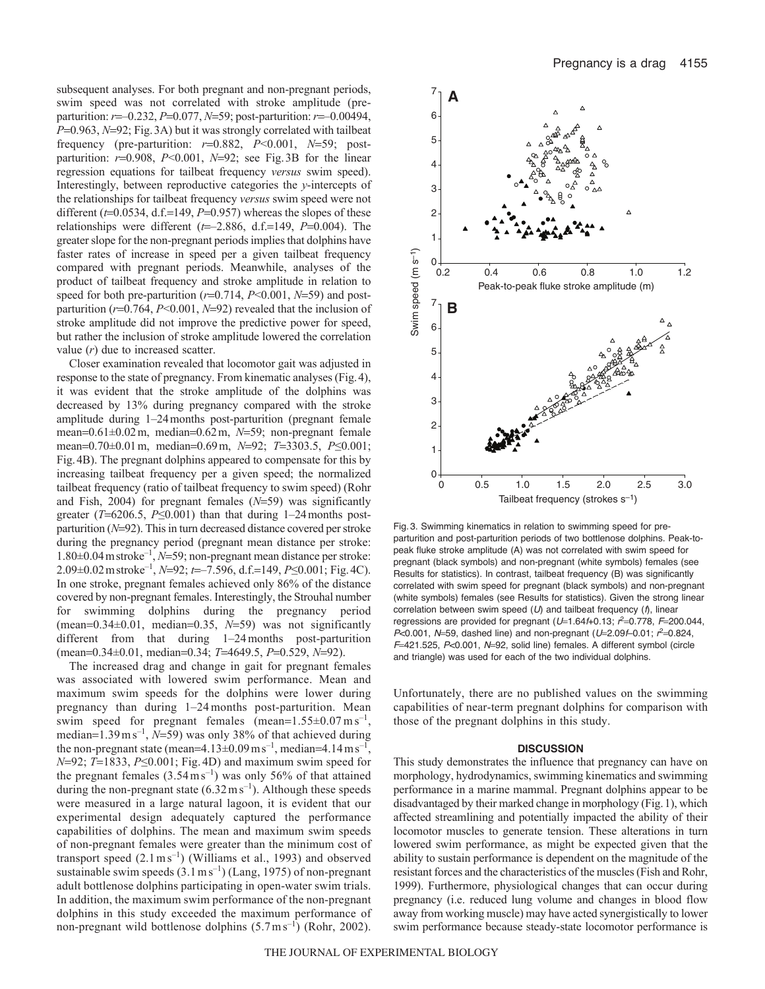subsequent analyses. For both pregnant and non-pregnant periods, swim speed was not correlated with stroke amplitude (preparturition: *r*=-0.232, *P*=0.077, *N*=59; post-parturition: *r*=-0.00494, *P*=0.963, *N*=92; Fig. 3A) but it was strongly correlated with tailbeat frequency (pre-parturition:  $r=0.882$ ,  $P<0.001$ ,  $N=59$ ; postparturition:  $r=0.908$ ,  $P<0.001$ ,  $N=92$ ; see Fig. 3B for the linear regression equations for tailbeat frequency *versus* swim speed). Interestingly, between reproductive categories the *y*-intercepts of the relationships for tailbeat frequency *versus* swim speed were not different  $(t=0.0534, d.f.=149, P=0.957)$  whereas the slopes of these relationships were different  $(t=-2.886, d.f.=149, P=0.004)$ . The greater slope for the non-pregnant periods implies that dolphins have faster rates of increase in speed per a given tailbeat frequency compared with pregnant periods. Meanwhile, analyses of the product of tailbeat frequency and stroke amplitude in relation to speed for both pre-parturition  $(r=0.714, P<0.001, N=59)$  and postparturition ( $r=0.764$ ,  $P<0.001$ ,  $N=92$ ) revealed that the inclusion of stroke amplitude did not improve the predictive power for speed, but rather the inclusion of stroke amplitude lowered the correlation value (*r*) due to increased scatter.

Closer examination revealed that locomotor gait was adjusted in response to the state of pregnancy. From kinematic analyses (Fig.4), it was evident that the stroke amplitude of the dolphins was decreased by 13% during pregnancy compared with the stroke amplitude during 1–24months post-parturition (pregnant female mean=0.61±0.02 m, median=0.62 m, N=59; non-pregnant female mean=0.70±0.01 m, median=0.69 m, N=92; T=3303.5, P≤0.001; Fig.4B). The pregnant dolphins appeared to compensate for this by increasing tailbeat frequency per a given speed; the normalized tailbeat frequency (ratio of tailbeat frequency to swim speed) (Rohr and Fish,  $2004$ ) for pregnant females  $(N=59)$  was significantly greater ( $T=6206.5$ ,  $P\leq 0.001$ ) than that during 1–24 months postparturition ( $N=92$ ). This in turn decreased distance covered per stroke during the pregnancy period (pregnant mean distance per stroke: 1.80±0.04 m stroke<sup>-1</sup>, *N*=59; non-pregnant mean distance per stroke: 2.09±0.02 m stroke<sup>-1</sup>, *N*=92; *t*=−7.596, d.f.=149, *P*≤0.001; Fig. 4C). In one stroke, pregnant females achieved only 86% of the distance covered by non-pregnant females. Interestingly, the Strouhal number for swimming dolphins during the pregnancy period (mean= $0.34\pm0.01$ , median= $0.35$ ,  $N=59$ ) was not significantly different from that during 1–24months post-parturition (mean=0.34±0.01, median=0.34; *T*=4649.5, *P*=0.529, *N*=92).

The increased drag and change in gait for pregnant females was associated with lowered swim performance. Mean and maximum swim speeds for the dolphins were lower during pregnancy than during 1–24months post-parturition. Mean swim speed for pregnant females (mean= $1.55\pm0.07$  m s<sup>-1</sup>, median= $1.39 \text{ m s}^{-1}$ , *N*=59) was only 38% of that achieved during the non-pregnant state (mean=4.13 $\pm$ 0.09 ms<sup>-1</sup>, median=4.14 ms<sup>-1</sup>, *N*=92; *T*=1833, *P*≤0.001; Fig. 4D) and maximum swim speed for the pregnant females  $(3.54 \text{ m s}^{-1})$  was only 56% of that attained during the non-pregnant state  $(6.32 \text{ m s}^{-1})$ . Although these speeds were measured in a large natural lagoon, it is evident that our experimental design adequately captured the performance capabilities of dolphins. The mean and maximum swim speeds of non-pregnant females were greater than the minimum cost of transport speed  $(2.1 \text{ m s}^{-1})$  (Williams et al., 1993) and observed sustainable swim speeds  $(3.1 \text{ m s}^{-1})$  (Lang, 1975) of non-pregnant adult bottlenose dolphins participating in open-water swim trials. In addition, the maximum swim performance of the non-pregnant dolphins in this study exceeded the maximum performance of non-pregnant wild bottlenose dolphins  $(5.7 \text{ m s}^{-1})$  (Rohr, 2002).



Fig. 3. Swimming kinematics in relation to swimming speed for preparturition and post-parturition periods of two bottlenose dolphins. Peak-topeak fluke stroke amplitude (A) was not correlated with swim speed for pregnant (black symbols) and non-pregnant (white symbols) females (see Results for statistics). In contrast, tailbeat frequency (B) was significantly correlated with swim speed for pregnant (black symbols) and non-pregnant (white symbols) females (see Results for statistics). Given the strong linear correlation between swim speed (*U*) and tailbeat frequency (*f*), linear regressions are provided for pregnant (U=1.64f+0.13;  $r^2$ =0.778, F=200.044, *P*<0.001, *N*=59, dashed line) and non-pregnant (*U*=2.09*f*–0.01;  $r^2$ =0.824, *F*=421.525, *P*<0.001, *N*=92, solid line) females. A different symbol (circle and triangle) was used for each of the two individual dolphins.

Unfortunately, there are no published values on the swimming capabilities of near-term pregnant dolphins for comparison with those of the pregnant dolphins in this study.

## **DISCUSSION**

This study demonstrates the influence that pregnancy can have on morphology, hydrodynamics, swimming kinematics and swimming performance in a marine mammal. Pregnant dolphins appear to be disadvantaged by their marked change in morphology (Fig.1), which affected streamlining and potentially impacted the ability of their locomotor muscles to generate tension. These alterations in turn lowered swim performance, as might be expected given that the ability to sustain performance is dependent on the magnitude of the resistant forces and the characteristics of the muscles (Fish and Rohr, 1999). Furthermore, physiological changes that can occur during pregnancy (i.e. reduced lung volume and changes in blood flow away from working muscle) may have acted synergistically to lower swim performance because steady-state locomotor performance is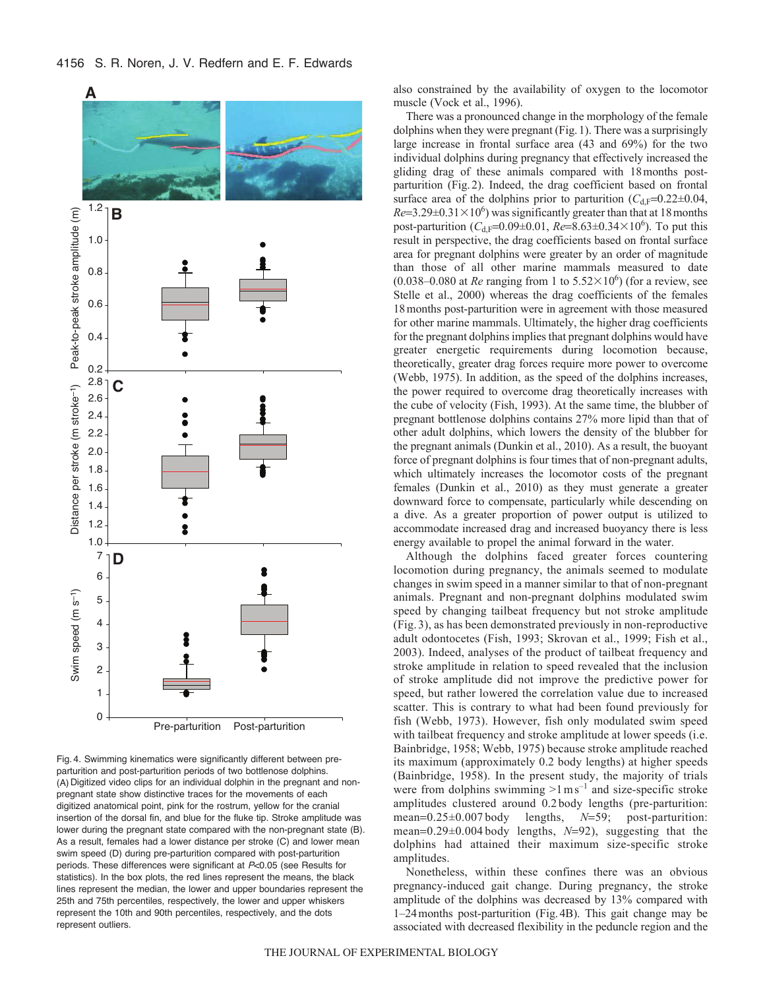



Fig. 4. Swimming kinematics were significantly different between preparturition and post-parturition periods of two bottlenose dolphins. (A) Digitized video clips for an individual dolphin in the pregnant and nonpregnant state show distinctive traces for the movements of each digitized anatomical point, pink for the rostrum, yellow for the cranial insertion of the dorsal fin, and blue for the fluke tip. Stroke amplitude was lower during the pregnant state compared with the non-pregnant state (B). As a result, females had a lower distance per stroke (C) and lower mean swim speed (D) during pre-parturition compared with post-parturition periods. These differences were significant at *P*<0.05 (see Results for statistics). In the box plots, the red lines represent the means, the black lines represent the median, the lower and upper boundaries represent the 25th and 75th percentiles, respectively, the lower and upper whiskers represent the 10th and 90th percentiles, respectively, and the dots represent outliers.

also constrained by the availability of oxygen to the locomotor muscle (Vock et al., 1996).

There was a pronounced change in the morphology of the female dolphins when they were pregnant (Fig.1). There was a surprisingly large increase in frontal surface area (43 and 69%) for the two individual dolphins during pregnancy that effectively increased the gliding drag of these animals compared with 18months postparturition (Fig.2). Indeed, the drag coefficient based on frontal surface area of the dolphins prior to parturition  $(C_{d,F}=0.22\pm0.04,$  $Re=3.29\pm0.31\times10^6$ ) was significantly greater than that at 18 months post-parturition  $(C_{d,F} = 0.09 \pm 0.01, Re = 8.63 \pm 0.34 \times 10^6)$ . To put this result in perspective, the drag coefficients based on frontal surface area for pregnant dolphins were greater by an order of magnitude than those of all other marine mammals measured to date  $(0.038-0.080$  at *Re* ranging from 1 to  $5.52 \times 10^6$ ) (for a review, see Stelle et al., 2000) whereas the drag coefficients of the females 18months post-parturition were in agreement with those measured for other marine mammals. Ultimately, the higher drag coefficients for the pregnant dolphins implies that pregnant dolphins would have greater energetic requirements during locomotion because, theoretically, greater drag forces require more power to overcome (Webb, 1975). In addition, as the speed of the dolphins increases, the power required to overcome drag theoretically increases with the cube of velocity (Fish, 1993). At the same time, the blubber of pregnant bottlenose dolphins contains 27% more lipid than that of other adult dolphins, which lowers the density of the blubber for the pregnant animals (Dunkin et al., 2010). As a result, the buoyant force of pregnant dolphins is four times that of non-pregnant adults, which ultimately increases the locomotor costs of the pregnant females (Dunkin et al., 2010) as they must generate a greater downward force to compensate, particularly while descending on a dive. As a greater proportion of power output is utilized to accommodate increased drag and increased buoyancy there is less energy available to propel the animal forward in the water.

Although the dolphins faced greater forces countering locomotion during pregnancy, the animals seemed to modulate changes in swim speed in a manner similar to that of non-pregnant animals. Pregnant and non-pregnant dolphins modulated swim speed by changing tailbeat frequency but not stroke amplitude (Fig. 3), as has been demonstrated previously in non-reproductive adult odontocetes (Fish, 1993; Skrovan et al., 1999; Fish et al., 2003). Indeed, analyses of the product of tailbeat frequency and stroke amplitude in relation to speed revealed that the inclusion of stroke amplitude did not improve the predictive power for speed, but rather lowered the correlation value due to increased scatter. This is contrary to what had been found previously for fish (Webb, 1973). However, fish only modulated swim speed with tailbeat frequency and stroke amplitude at lower speeds (i.e. Bainbridge, 1958; Webb, 1975) because stroke amplitude reached its maximum (approximately 0.2 body lengths) at higher speeds (Bainbridge, 1958). In the present study, the majority of trials were from dolphins swimming  $>1 \text{ m s}^{-1}$  and size-specific stroke amplitudes clustered around 0.2 body lengths (pre-parturition: mean= $0.25\pm0.007$  body lengths,  $N=59$ ; post-parturition: mean=0.29±0.004 body lengths, N=92), suggesting that the dolphins had attained their maximum size-specific stroke amplitudes.

Nonetheless, within these confines there was an obvious pregnancy-induced gait change. During pregnancy, the stroke amplitude of the dolphins was decreased by 13% compared with 1–24months post-parturition (Fig.4B). This gait change may be associated with decreased flexibility in the peduncle region and the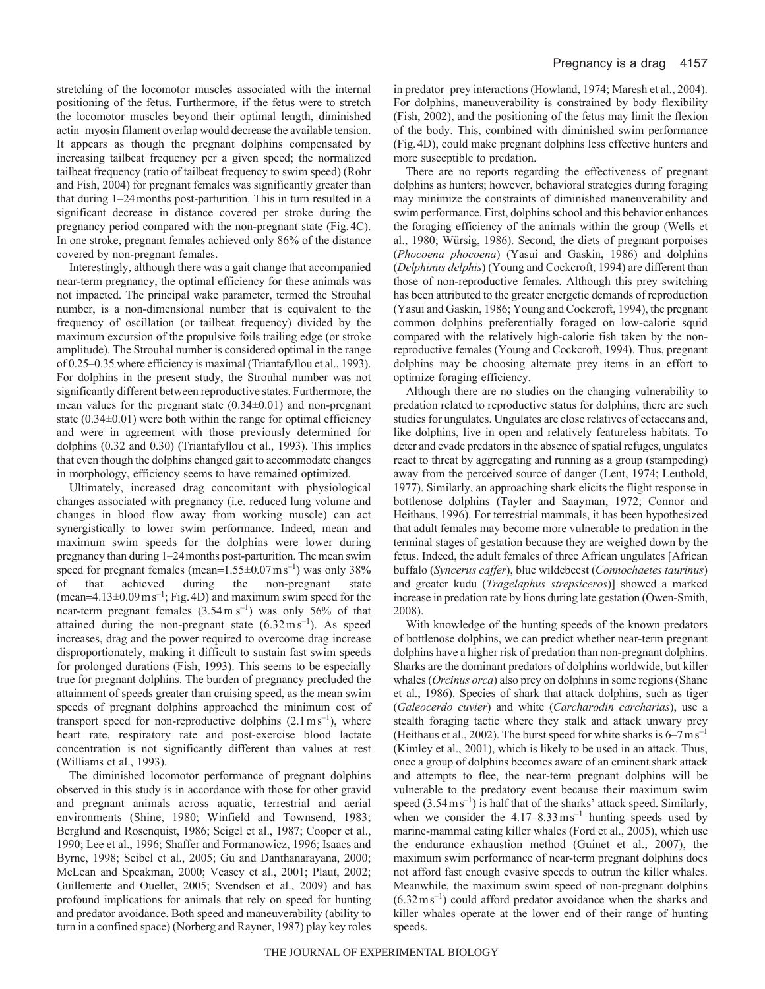stretching of the locomotor muscles associated with the internal positioning of the fetus. Furthermore, if the fetus were to stretch the locomotor muscles beyond their optimal length, diminished actin–myosin filament overlap would decrease the available tension. It appears as though the pregnant dolphins compensated by increasing tailbeat frequency per a given speed; the normalized tailbeat frequency (ratio of tailbeat frequency to swim speed) (Rohr and Fish, 2004) for pregnant females was significantly greater than that during 1–24months post-parturition. This in turn resulted in a significant decrease in distance covered per stroke during the pregnancy period compared with the non-pregnant state (Fig.4C). In one stroke, pregnant females achieved only 86% of the distance covered by non-pregnant females.

Interestingly, although there was a gait change that accompanied near-term pregnancy, the optimal efficiency for these animals was not impacted. The principal wake parameter, termed the Strouhal number, is a non-dimensional number that is equivalent to the frequency of oscillation (or tailbeat frequency) divided by the maximum excursion of the propulsive foils trailing edge (or stroke amplitude). The Strouhal number is considered optimal in the range of 0.25–0.35 where efficiency is maximal (Triantafyllou et al., 1993). For dolphins in the present study, the Strouhal number was not significantly different between reproductive states. Furthermore, the mean values for the pregnant state  $(0.34\pm0.01)$  and non-pregnant state  $(0.34\pm0.01)$  were both within the range for optimal efficiency and were in agreement with those previously determined for dolphins (0.32 and 0.30) (Triantafyllou et al., 1993). This implies that even though the dolphins changed gait to accommodate changes in morphology, efficiency seems to have remained optimized.

Ultimately, increased drag concomitant with physiological changes associated with pregnancy (i.e. reduced lung volume and changes in blood flow away from working muscle) can act synergistically to lower swim performance. Indeed, mean and maximum swim speeds for the dolphins were lower during pregnancy than during 1–24months post-parturition. The mean swim speed for pregnant females (mean= $1.55\pm0.07$  ms<sup>-1</sup>) was only 38% of that achieved during the non-pregnant state (mean= $4.13\pm0.09$  m s<sup>-1</sup>; Fig. 4D) and maximum swim speed for the near-term pregnant females  $(3.54 \text{ m s}^{-1})$  was only 56% of that attained during the non-pregnant state  $(6.32 \text{ m s}^{-1})$ . As speed increases, drag and the power required to overcome drag increase disproportionately, making it difficult to sustain fast swim speeds for prolonged durations (Fish, 1993). This seems to be especially true for pregnant dolphins. The burden of pregnancy precluded the attainment of speeds greater than cruising speed, as the mean swim speeds of pregnant dolphins approached the minimum cost of transport speed for non-reproductive dolphins  $(2.1 \text{ m s}^{-1})$ , where heart rate, respiratory rate and post-exercise blood lactate concentration is not significantly different than values at rest (Williams et al., 1993).

The diminished locomotor performance of pregnant dolphins observed in this study is in accordance with those for other gravid and pregnant animals across aquatic, terrestrial and aerial environments (Shine, 1980; Winfield and Townsend, 1983; Berglund and Rosenquist, 1986; Seigel et al., 1987; Cooper et al., 1990; Lee et al., 1996; Shaffer and Formanowicz, 1996; Isaacs and Byrne, 1998; Seibel et al., 2005; Gu and Danthanarayana, 2000; McLean and Speakman, 2000; Veasey et al., 2001; Plaut, 2002; Guillemette and Ouellet, 2005; Svendsen et al., 2009) and has profound implications for animals that rely on speed for hunting and predator avoidance. Both speed and maneuverability (ability to turn in a confined space) (Norberg and Rayner, 1987) play key roles in predator–prey interactions (Howland, 1974; Maresh et al., 2004). For dolphins, maneuverability is constrained by body flexibility (Fish, 2002), and the positioning of the fetus may limit the flexion of the body. This, combined with diminished swim performance (Fig.4D), could make pregnant dolphins less effective hunters and more susceptible to predation.

There are no reports regarding the effectiveness of pregnant dolphins as hunters; however, behavioral strategies during foraging may minimize the constraints of diminished maneuverability and swim performance. First, dolphins school and this behavior enhances the foraging efficiency of the animals within the group (Wells et al., 1980; Würsig, 1986). Second, the diets of pregnant porpoises (*Phocoena phocoena*) (Yasui and Gaskin, 1986) and dolphins (*Delphinus delphis*) (Young and Cockcroft, 1994) are different than those of non-reproductive females. Although this prey switching has been attributed to the greater energetic demands of reproduction (Yasui and Gaskin, 1986; Young and Cockcroft, 1994), the pregnant common dolphins preferentially foraged on low-calorie squid compared with the relatively high-calorie fish taken by the nonreproductive females (Young and Cockcroft, 1994). Thus, pregnant dolphins may be choosing alternate prey items in an effort to optimize foraging efficiency.

Although there are no studies on the changing vulnerability to predation related to reproductive status for dolphins, there are such studies for ungulates. Ungulates are close relatives of cetaceans and, like dolphins, live in open and relatively featureless habitats. To deter and evade predators in the absence of spatial refuges, ungulates react to threat by aggregating and running as a group (stampeding) away from the perceived source of danger (Lent, 1974; Leuthold, 1977). Similarly, an approaching shark elicits the flight response in bottlenose dolphins (Tayler and Saayman, 1972; Connor and Heithaus, 1996). For terrestrial mammals, it has been hypothesized that adult females may become more vulnerable to predation in the terminal stages of gestation because they are weighed down by the fetus. Indeed, the adult females of three African ungulates [African buffalo (*Syncerus caffer*), blue wildebeest (*Connochaetes taurinus*) and greater kudu (*Tragelaphus strepsiceros*)] showed a marked increase in predation rate by lions during late gestation (Owen-Smith, 2008).

With knowledge of the hunting speeds of the known predators of bottlenose dolphins, we can predict whether near-term pregnant dolphins have a higher risk of predation than non-pregnant dolphins. Sharks are the dominant predators of dolphins worldwide, but killer whales (*Orcinus orca*) also prey on dolphins in some regions (Shane et al., 1986). Species of shark that attack dolphins, such as tiger (*Galeocerdo cuvier*) and white (*Carcharodin carcharias*), use a stealth foraging tactic where they stalk and attack unwary prey (Heithaus et al., 2002). The burst speed for white sharks is  $6-7 \text{ m s}^{-1}$ (Kimley et al., 2001), which is likely to be used in an attack. Thus, once a group of dolphins becomes aware of an eminent shark attack and attempts to flee, the near-term pregnant dolphins will be vulnerable to the predatory event because their maximum swim speed  $(3.54 \text{ m s}^{-1})$  is half that of the sharks' attack speed. Similarly, when we consider the  $4.17-8.33 \text{ m s}^{-1}$  hunting speeds used by marine-mammal eating killer whales (Ford et al., 2005), which use the endurance–exhaustion method (Guinet et al., 2007), the maximum swim performance of near-term pregnant dolphins does not afford fast enough evasive speeds to outrun the killer whales. Meanwhile, the maximum swim speed of non-pregnant dolphins  $(6.32 \text{ m s}^{-1})$  could afford predator avoidance when the sharks and killer whales operate at the lower end of their range of hunting speeds.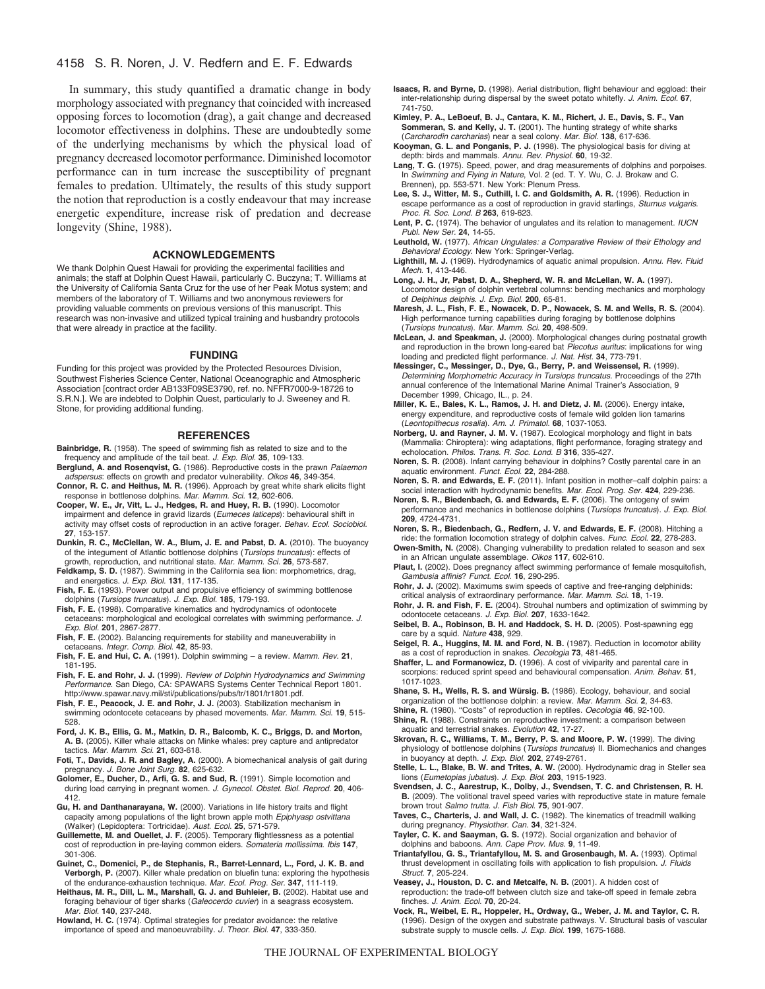# 4158 S. R. Noren, J. V. Redfern and E. F. Edwards

In summary, this study quantified a dramatic change in body morphology associated with pregnancy that coincided with increased opposing forces to locomotion (drag), a gait change and decreased locomotor effectiveness in dolphins. These are undoubtedly some of the underlying mechanisms by which the physical load of pregnancy decreased locomotor performance. Diminished locomotor performance can in turn increase the susceptibility of pregnant females to predation. Ultimately, the results of this study support the notion that reproduction is a costly endeavour that may increase energetic expenditure, increase risk of predation and decrease longevity (Shine, 1988).

### **ACKNOWLEDGEMENTS**

We thank Dolphin Quest Hawaii for providing the experimental facilities and animals; the staff at Dolphin Quest Hawaii, particularly C. Buczyna; T. Williams at the University of California Santa Cruz for the use of her Peak Motus system; and members of the laboratory of T. Williams and two anonymous reviewers for providing valuable comments on previous versions of this manuscript. This research was non-invasive and utilized typical training and husbandry protocols that were already in practice at the facility.

#### **FUNDING**

Funding for this project was provided by the Protected Resources Division, Southwest Fisheries Science Center, National Oceanographic and Atmospheric Association [contract order AB133F09SE3790, ref. no. NFFR7000-9-18726 to S.R.N.]. We are indebted to Dolphin Quest, particularly to J. Sweeney and R. Stone, for providing additional funding.

#### **REFERENCES**

- **Bainbridge, R.** (1958). The speed of swimming fish as related to size and to the frequency and amplitude of the tail beat. *J. Exp. Biol.* **35**, 109-133. **Berglund, A. and Rosenqvist, G.** (1986). Reproductive costs in the prawn *Palaemon*
- *adspersus*: effects on growth and predator vulnerability. *Oikos* **46**, 349-354. **Connor, R. C. and Heithus, M. R.** (1996). Approach by great white shark elicits flight response in bottlenose dolphins. *Mar. Mamm. Sci*. **12**, 602-606.
- **Cooper, W. E., Jr, Vitt, L. J., Hedges, R. and Huey, R. B.** (1990). Locomotor impairment and defence in gravid lizards (*Eumeces laticeps*): behavioural shift in activity may offset costs of reproduction in an active forager. *Behav. Ecol. Sociobiol.* **27**, 153-157.
- **Dunkin, R. C., McClellan, W. A., Blum, J. E. and Pabst, D. A.** (2010). The buoyancy of the integument of Atlantic bottlenose dolphins (*Tursiops truncatus*): effects of growth, reproduction, and nutritional state. *Mar. Mamm. Sci.* **26**, 573-587.
- **Feldkamp, S. D.** (1987). Swimming in the California sea lion: morphometrics, drag, and energetics. *J. Exp. Biol.* **131**, 117-135.
- **Fish, F. E.** (1993). Power output and propulsive efficiency of swimming bottlenose dolphins (*Tursiops truncatus*). *J. Exp. Biol.* **185**, 179-193.
- **Fish, F. E.** (1998). Comparative kinematics and hydrodynamics of odontocete cetaceans: morphological and ecological correlates with swimming performance. *J. Exp. Biol.* **201**, 2867-2877.
- **Fish, F. E.** (2002). Balancing requirements for stability and maneuverability in cetaceans. *Integr. Comp. Biol.* **42**, 85-93.
- **Fish, F. E. and Hui, C. A.** (1991). Dolphin swimming a review. *Mamm. Rev.* **21**, 181-195.
- **Fish, F. E. and Rohr, J. J.** (1999). *Review of Dolphin Hydrodynamics and Swimming Performance*. San Diego, CA: SPAWARS Systems Center Technical Report 1801. http://www.spawar.navy.mil/sti/publications/pubs/tr/1801/tr1801.pdf.
- **Fish, F. E., Peacock, J. E. and Rohr, J. J.** (2003). Stabilization mechanism in swimming odontocete cetaceans by phased movements. *Mar. Mamm. Sci*. **19**, 515- 528.
- **Ford, J. K. B., Ellis, G. M., Matkin, D. R., Balcomb, K. C., Briggs, D. and Morton, A. B.** (2005). Killer whale attacks on Minke whales: prey capture and antipredator tactics. *Mar. Mamm. Sci.* **21**, 603-618.
- **Foti, T., Davids, J. R. and Bagley, A.** (2000). A biomechanical analysis of gait during pregnancy. *J. Bone Joint Surg.* **82**, 625-632.
- **Golomer, E., Ducher, D., Arfi, G. S. and Sud, R.** (1991). Simple locomotion and during load carrying in pregnant women. *J. Gynecol. Obstet. Biol. Reprod.* **20**, 406- 412.
- **Gu, H. and Danthanarayana, W.** (2000). Variations in life history traits and flight capacity among populations of the light brown apple moth *Epiphyasp ostvittana* (Walker) (Lepidoptera: Tortricidae). *Aust. Ecol.* **25**, 571-579.
- **Guillemette, M. and Ouellet, J. F.** (2005). Temporary flightlessness as a potential cost of reproduction in pre-laying common eiders. *Somateria mollissima*. *Ibis* **147**, 301-306.
- **Guinet, C., Domenici, P., de Stephanis, R., Barret-Lennard, L., Ford, J. K. B. and Verborgh, P.** (2007). Killer whale predation on bluefin tuna: exploring the hypothesis of the endurance-exhaustion technique. *Mar. Ecol. Prog. Ser.* **347**, 111-119.
- **Heithaus, M. R., Dill, L. M., Marshall, G. J. and Buhleier, B.** (2002). Habitat use and foraging behaviour of tiger sharks (*Galeocerdo cuvier*) in a seagrass ecosystem. *Mar. Biol.* **140**, 237-248.

**Howland, H. C.** (1974). Optimal strategies for predator avoidance: the relative importance of speed and manoeuvrability. *J. Theor. Biol.* **47**, 333-350.

- **Isaacs, R. and Byrne, D.** (1998). Aerial distribution, flight behaviour and eggload: their inter-relationship during dispersal by the sweet potato whitefly. *J. Anim. Ecol.* **67**, 741-750.
- **Kimley, P. A., LeBoeuf, B. J., Cantara, K. M., Richert, J. E., Davis, S. F., Van Sommeran, S. and Kelly, J. T.** (2001). The hunting strategy of white sharks
- (*Carcharodin carcharias*) near a seal colony. *Mar. Biol.* **138**, 617-636. **Kooyman, G. L. and Ponganis, P. J.** (1998). The physiological basis for diving at depth: birds and mammals. *Annu. Rev. Physiol*. **60**, 19-32.
- **Lang, T. G.** (1975). Speed, power, and drag measurements of dolphins and porpoises. In *Swimming and Flying in Nature*, Vol. 2 (ed. T. Y. Wu, C. J. Brokaw and C. Brennen), pp. 553-571. New York: Plenum Press.
- **Lee, S. J., Witter, M. S., Cuthill, I. C. and Goldsmith, A. R.** (1996). Reduction in escape performance as a cost of reproduction in gravid starlings, *Sturnus vulgaris*. *Proc. R. Soc. Lond. B* **263**, 619-623.
- **Lent, P. C.** (1974). The behavior of ungulates and its relation to management. *IUCN*
- *Publ. New Ser.* **24**, 14-55. **Leuthold, W.** (1977). *African Ungulates: a Comparative Review of their Ethology and Behavioral Ecology.* New York: Springer-Verlag.
- **Lighthill, M. J.** (1969). Hydrodynamics of aquatic animal propulsion. *Annu. Rev. Fluid Mech.* **1**, 413-446.
- **Long, J. H., Jr, Pabst, D. A., Shepherd, W. R. and McLellan, W. A.** (1997). Locomotor design of dolphin vertebral columns: bending mechanics and morphology of *Delphinus delphis*. *J. Exp. Biol.* **200**, 65-81.
- **Maresh, J. L., Fish, F. E., Nowacek, D. P., Nowacek, S. M. and Wells, R. S.** (2004). High performance turning capabilities during foraging by bottlenose dolphins (*Tursiops truncatus*). *Mar. Mamm. Sci*. **20**, 498-509.
- **McLean, J. and Speakman, J.** (2000). Morphological changes during postnatal growth and reproduction in the brown long-eared bat *Plecotus auritus*: implications for wing loading and predicted flight performance. *J. Nat. Hist.* **34**, 773-791.
- **Messinger, C., Messinger, D., Dye, G., Berry, P. and Weissensel, R.** (1999). *Determining Morphometric Accuracy in Tursiops truncatus.* Proceedings of the 27th annual conference of the International Marine Animal Trainer's Association, 9 December 1999, Chicago, IL., p. 24.
- **Miller, K. E., Bales, K. L., Ramos, J. H. and Dietz, J. M.** (2006). Energy intake, energy expenditure, and reproductive costs of female wild golden lion tamarins
- (*Leontopithecus rosalia*). *Am. J. Primatol.* **68**, 1037-1053. **Norberg, U. and Rayner, J. M. V.** (1987). Ecological morphology and flight in bats (Mammalia: Chiroptera): wing adaptations, flight performance, foraging strategy and echolocation. *Philos. Trans. R. Soc. Lond. B* **316**, 335-427.
- **Noren, S. R.** (2008). Infant carrying behaviour in dolphins? Costly parental care in an aquatic environment. *Funct. Ecol.* **22**, 284-288.
- **Noren, S. R. and Edwards, E. F.** (2011). Infant position in mother–calf dolphin pairs: a social interaction with hydrodynamic benefits. *Mar. Ecol. Prog. Ser.* **424**, 229-236.
- **Noren, S. R., Biedenbach, G. and Edwards, E. F.** (2006). The ontogeny of swim performance and mechanics in bottlenose dolphins (*Tursiops truncatus*). *J. Exp. Biol.* **209**, 4724-4731.

**Noren, S. R., Biedenbach, G., Redfern, J. V. and Edwards, E. F.** (2008). Hitching a ride: the formation locomotion strategy of dolphin calves. *Func. Ecol.* **22**, 278-283. **Owen-Smith, N.** (2008). Changing vulnerability to predation related to season and sex

- in an African ungulate assemblage. *Oikos* **117**, 602-610. **Plaut, I.** (2002). Does pregnancy affect swimming performance of female mosquitofish,
- *Gambusia affinis*? *Funct. Ecol.* **16**, 290-295. **Rohr, J. J.** (2002). Maximums swim speeds of captive and free-ranging delphinids:
- critical analysis of extraordinary performance. *Mar. Mamm. Sci.* **18**, 1-19. **Rohr, J. R. and Fish, F. E.** (2004). Strouhal numbers and optimization of swimming by odontocete cetaceans. *J. Exp. Biol.* **207**, 1633-1642.
- **Seibel, B. A., Robinson, B. H. and Haddock, S. H. D.** (2005). Post-spawning egg care by a squid. *Nature* **438**, 929.
- **Seigel, R. A., Huggins, M. M. and Ford, N. B.** (1987). Reduction in locomotor ability as a cost of reproduction in snakes. *Oecologia* **73**, 481-465.
- **Shaffer, L. and Formanowicz, D.** (1996). A cost of viviparity and parental care in scorpions: reduced sprint speed and behavioural compensation. *Anim. Behav.* **51**, 1017-1023.

**Shane, S. H., Wells, R. S. and Würsig. B.** (1986). Ecology, behaviour, and social

organization of the bottlenose dolphin: a review. *Mar. Mamm. Sci.* **2**, 34-63. **Shine, R.** (1980). ʻʻCosts'' of reproduction in reptiles. *Oecologia* **46**, 92-100.

**Shine, R.** (1988). Constraints on reproductive investment: a comparison between aquatic and terrestrial snakes. *Evolution* **42**, 17-27.

- **Skrovan, R. C., Williams, T. M., Berry, P. S. and Moore, P. W.** (1999). The diving physiology of bottlenose dolphins (*Tursiops truncatus*) II. Biomechanics and changes in buoyancy at depth. *J. Exp. Biol.* **202**, 2749-2761.
- **Stelle, L. L., Blake, B. W. and Trites, A. W.** (2000). Hydrodynamic drag in Steller sea lions (*Eumetopias jubatus*). *J. Exp. Biol.* **203**, 1915-1923.
- **Svendsen, J. C., Aarestrup, K., Dolby, J., Svendsen, T. C. and Christensen, R. H. B.** (2009). The volitional travel speed varies with reproductive state in mature female brown trout *Salmo trutta. J. Fish Biol.* **75**, 901-907.
- **Taves, C., Charteris, J. and Wall, J. C.** (1982). The kinematics of treadmill walking during pregnancy. *Physiother. Can.* **34**, 321-324.
- **Tayler, C. K. and Saayman, G. S.** (1972). Social organization and behavior of dolphins and baboons. *Ann. Cape Prov. Mus.* **9**, 11-49.
- **Triantafyllou, G. S., Triantafyllou, M. S. and Grosenbaugh, M. A.** (1993). Optimal thrust development in oscillating foils with application to fish propulsion. *J. Fluids Struct*. **7**, 205-224.
- **Veasey, J., Houston, D. C. and Metcalfe, N. B.** (2001). A hidden cost of reproduction: the trade-off between clutch size and take-off speed in female zebra finches. *J. Anim. Ecol.* **70**, 20-24.
- **Vock, R., Weibel, E. R., Hoppeler, H., Ordway, G., Weber, J. M. and Taylor, C. R.** (1996). Design of the oxygen and substrate pathways. V. Structural basis of vascular substrate supply to muscle cells. *J. Exp. Biol.* **199**, 1675-1688.